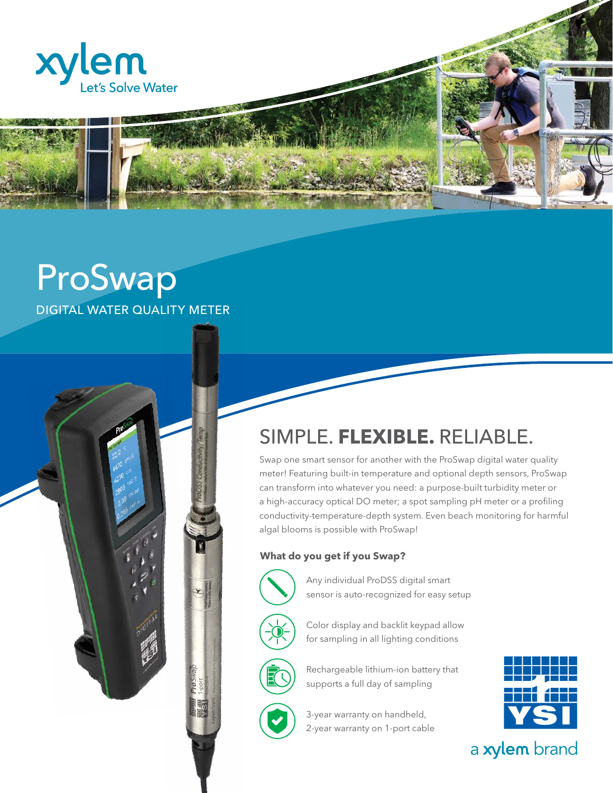

# ProSwap DIGITAL WATER QUALITY METER



Swap one smart sensor for another with the ProSwap digital water quality meter! Featuring built-in temperature and optional depth sensors, ProSwap can transform into whatever you need: a purpose-built turbidity meter or a high-accuracy optical DO meter; a spot sampling pH meter or a profiling conductivity-temperature-depth system. Even beach monitoring for harmful algal blooms is possible with ProSwap!

### **What do you get if you Swap?**



Any individual ProDSS digital smart sensor is auto-recognized for easy setup



Color display and backlit keypad allow for sampling in all lighting conditions



Rechargeable lithium-ion battery that supports a full day of sampling



3-year warranty on handheld, 2-year warranty on 1-port cable



a xylem brand